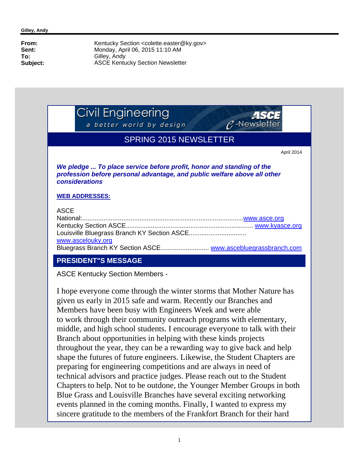Civil Engineering

a better world by design



# SPRING 2015 NEWSLETTER

April 2014

*We pledge ... To place service before profit, honor and standing of the profession before personal advantage, and public welfare above all other considerations*

#### **WEB ADDRESSES:**

#### **ACCE**

| , 100-            |  |
|-------------------|--|
|                   |  |
|                   |  |
|                   |  |
| www.ascelouky.org |  |
|                   |  |

# **PRESIDENT"S MESSAGE**

ASCE Kentucky Section Members -

I hope everyone come through the winter storms that Mother Nature has given us early in 2015 safe and warm. Recently our Branches and Members have been busy with Engineers Week and were able to work through their community outreach programs with elementary, middle, and high school students. I encourage everyone to talk with their Branch about opportunities in helping with these kinds projects throughout the year, they can be a rewarding way to give back and help shape the futures of future engineers. Likewise, the Student Chapters are preparing for engineering competitions and are always in need of technical advisors and practice judges. Please reach out to the Student Chapters to help. Not to be outdone, the Younger Member Groups in both Blue Grass and Louisville Branches have several exciting networking events planned in the coming months. Finally, I wanted to express my sincere gratitude to the members of the Frankfort Branch for their hard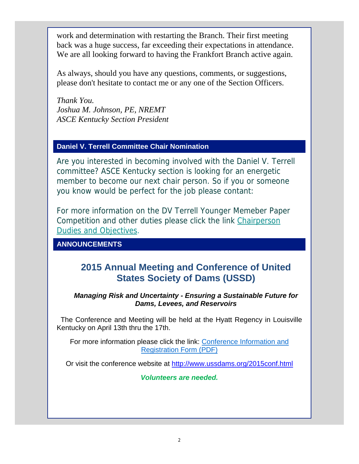work and determination with restarting the Branch. Their first meeting back was a huge success, far exceeding their expectations in attendance. We are all looking forward to having the Frankfort Branch active again.

As always, should you have any questions, comments, or suggestions, please don't hesitate to contact me or any one of the Section Officers.

*Thank You. Joshua M. Johnson, PE, NREMT ASCE Kentucky Section President*

# **Daniel V. Terrell Committee Chair Nomination**

Are you interested in becoming involved with the Daniel V. Terrell committee? ASCE Kentucky section is looking for an energetic member to become our next chair person. So if you or someone you know would be perfect for the job please contant:

For more information on the DV Terrell Younger Memeber Paper Competition and other duties please click the link Chairperson Dudies and Objectives.

# **ANNOUNCEMENTS**

# **2015 Annual Meeting and Conference of United States Society of Dams (USSD)**

#### *Managing Risk and Uncertainty - Ensuring a Sustainable Future for Dams, Levees, and Reservoirs*

 The Conference and Meeting will be held at the Hyatt Regency in Louisville Kentucky on April 13th thru the 17th.

For more information please click the link: Conference Information and Registration Form (PDF)

Or visit the conference website at http://www.ussdams.org/2015conf.html

*Volunteers are needed.*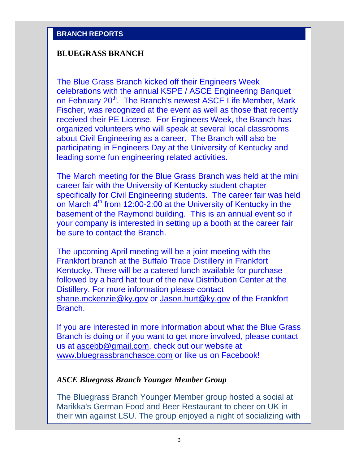### **BLUEGRASS BRANCH**

The Blue Grass Branch kicked off their Engineers Week celebrations with the annual KSPE / ASCE Engineering Banquet on February 20<sup>th</sup>. The Branch's newest ASCE Life Member, Mark Fischer, was recognized at the event as well as those that recently received their PE License. For Engineers Week, the Branch has organized volunteers who will speak at several local classrooms about Civil Engineering as a career. The Branch will also be participating in Engineers Day at the University of Kentucky and leading some fun engineering related activities.

The March meeting for the Blue Grass Branch was held at the mini career fair with the University of Kentucky student chapter specifically for Civil Engineering students. The career fair was held on March 4<sup>th</sup> from 12:00-2:00 at the University of Kentucky in the basement of the Raymond building. This is an annual event so if your company is interested in setting up a booth at the career fair be sure to contact the Branch.

The upcoming April meeting will be a joint meeting with the Frankfort branch at the Buffalo Trace Distillery in Frankfort Kentucky. There will be a catered lunch available for purchase followed by a hard hat tour of the new Distribution Center at the Distillery. For more information please contact shane.mckenzie@ky.gov or Jason.hurt@ky.gov of the Frankfort Branch.

If you are interested in more information about what the Blue Grass Branch is doing or if you want to get more involved, please contact us at ascebb@gmail.com, check out our website at www.bluegrassbranchasce.com or like us on Facebook!

## *ASCE Bluegrass Branch Younger Member Group*

The Bluegrass Branch Younger Member group hosted a social at Marikka's German Food and Beer Restaurant to cheer on UK in their win against LSU. The group enjoyed a night of socializing with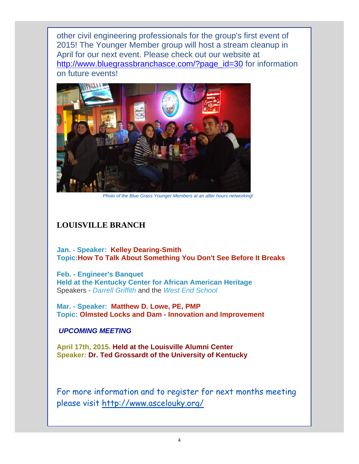other civil engineering professionals for the group's first event of 2015! The Younger Member group will host a stream cleanup in April for our next event. Please check out our website at http://www.bluegrassbranchasce.com/?page\_id=30 for information on future events!



*Photo of the Blue Grass Younger Members at an after hours networking!*

# **LOUISVILLE BRANCH**

**Jan. - Speaker: Kelley Dearing-Smith Topic:How To Talk About Something You Don't See Before It Breaks**

**Feb. - Engineer's Banquet Held at the Kentucky Center for African American Heritage** Speakers - *Darrell Griffith* and the *West End School*

**Mar. - Speaker: Matthew D. Lowe, PE, PMP Topic: Olmsted Locks and Dam - Innovation and Improvement**

### *UPCOMING MEETING*

**April 17th, 2015. Held at the Louisville Alumni Center Speaker: Dr. Ted Grossardt of the University of Kentucky**

For more information and to register for next months meeting please visit http://www.ascelouky.org/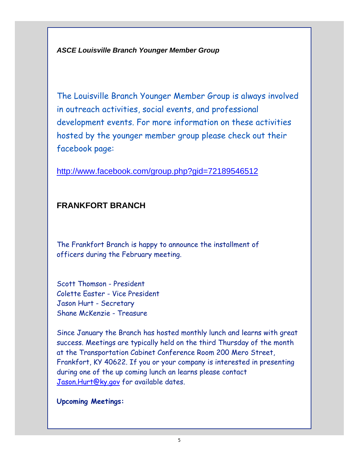*ASCE Louisville Branch Younger Member Group*

The Louisville Branch Younger Member Group is always involved in outreach activities, social events, and professional development events. For more information on these activities hosted by the younger member group please check out their facebook page:

http://www.facebook.com/group.php?gid=72189546512

# **FRANKFORT BRANCH**

The Frankfort Branch is happy to announce the installment of officers during the February meeting.

Scott Thomson - President Colette Easter - Vice President Jason Hurt - Secretary Shane McKenzie - Treasure

Since January the Branch has hosted monthly lunch and learns with great success. Meetings are typically held on the third Thursday of the month at the Transportation Cabinet Conference Room 200 Mero Street, Frankfort, KY 40622. If you or your company is interested in presenting during one of the up coming lunch an learns please contact Jason.Hurt@ky.gov for available dates.

### **Upcoming Meetings:**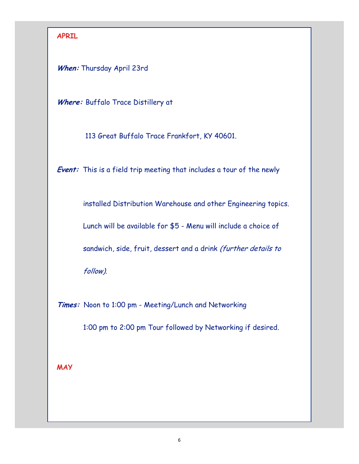# **APRIL**

**When:** Thursday April 23rd

Where: Buffalo Trace Distillery at

113 Great Buffalo Trace Frankfort, KY 40601.

**Event:** This is a field trip meeting that includes a tour of the newly

installed Distribution Warehouse and other Engineering topics.

Lunch will be available for \$5 - Menu will include a choice of

sandwich, side, fruit, dessert and a drink (further details to

follow).

**Times:** Noon to 1:00 pm - Meeting/Lunch and Networking

1:00 pm to 2:00 pm Tour followed by Networking if desired.

**MAY**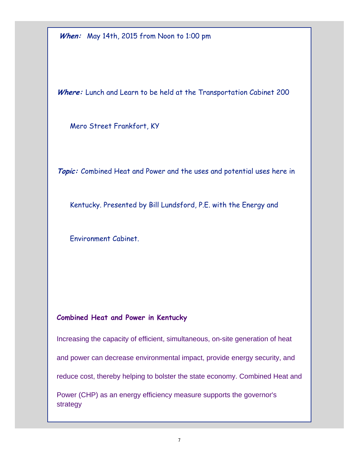**When:** May 14th, 2015 from Noon to 1:00 pm

Where: Lunch and Learn to be held at the Transportation Cabinet 200

Mero Street Frankfort, KY

**Topic:** Combined Heat and Power and the uses and potential uses here in

Kentucky. Presented by Bill Lundsford, P.E. with the Energy and

Environment Cabinet.

# **Combined Heat and Power in Kentucky**

Increasing the capacity of efficient, simultaneous, on-site generation of heat

and power can decrease environmental impact, provide energy security, and

reduce cost, thereby helping to bolster the state economy. Combined Heat and

Power (CHP) as an energy efficiency measure supports the governor's strategy